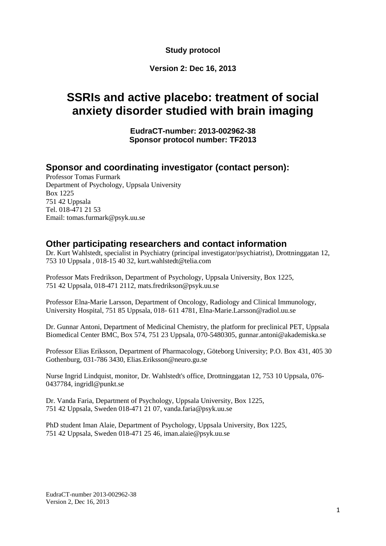**Study protocol**

### **Version 2: Dec 16, 2013**

# **SSRIs and active placebo: treatment of social anxiety disorder studied with brain imaging**

**EudraCT-number: 2013-002962-38 Sponsor protocol number: TF2013**

### **Sponsor and coordinating investigator (contact person):**

Professor Tomas Furmark Department of Psychology, Uppsala University Box 1225 751 42 Uppsala Tel. 018-471 21 53 Email: tomas.furmark@psyk.uu.se

### **Other participating researchers and contact information**

Dr. Kurt Wahlstedt, specialist in Psychiatry (principal investigator/psychiatrist), Drottninggatan 12, 753 10 Uppsala , 018-15 40 32, kurt.wahlstedt@telia.com

Professor Mats Fredrikson, Department of Psychology, Uppsala University, Box 1225, 751 42 Uppsala, 018-471 2112, mats.fredrikson@psyk.uu.se

Professor Elna-Marie Larsson, Department of Oncology, Radiology and Clinical Immunology, University Hospital, 751 85 Uppsala, 018- 611 4781, Elna-Marie.Larsson@radiol.uu.se

Dr. Gunnar Antoni, Department of Medicinal Chemistry, the platform for preclinical PET, Uppsala Biomedical Center BMC, Box 574, 751 23 Uppsala, 070-5480305, gunnar.antoni@akademiska.se

Professor Elias Eriksson, Department of Pharmacology, Göteborg University; P.O. Box 431, 405 30 Gothenburg, 031-786 3430, Elias.Eriksson@neuro.gu.se

Nurse Ingrid Lindquist, monitor, Dr. Wahlstedt's office, Drottninggatan 12, 753 10 Uppsala, 076- 0437784, ingridl@punkt.se

Dr. Vanda Faria, Department of Psychology, Uppsala University, Box 1225, 751 42 Uppsala, Sweden 018-471 21 07, vanda.faria@psyk.uu.se

PhD student Iman Alaie, Department of Psychology, Uppsala University, Box 1225, 751 42 Uppsala, Sweden 018-471 25 46, iman.alaie@psyk.uu.se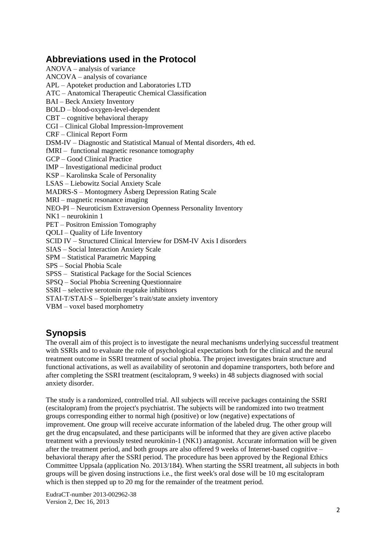# **Abbreviations used in the Protocol**

ANOVA – analysis of variance ANCOVA – analysis of covariance APL – Apoteket production and Laboratories LTD ATC – Anatomical Therapeutic Chemical Classification BAI – Beck Anxiety Inventory BOLD – blood-oxygen-level-dependent CBT – cognitive behavioral therapy CGI – Clinical Global Impression-Improvement CRF – Clinical Report Form DSM-IV – Diagnostic and Statistical Manual of Mental disorders, 4th ed. fMRI – functional magnetic resonance tomography GCP – Good Clinical Practice IMP – Investigational medicinal product KSP – Karolinska Scale of Personality LSAS – Liebowitz Social Anxiety Scale MADRS-S – Montogmery Åsberg Depression Rating Scale MRI – magnetic resonance imaging NEO-PI – Neuroticism Extraversion Openness Personality Inventory NK1 – neurokinin 1 PET – Positron Emission Tomography QOLI – Quality of Life Inventory SCID IV – Structured Clinical Interview for DSM-IV Axis I disorders SIAS – Social Interaction Anxiety Scale SPM – Statistical Parametric Mapping SPS – Social Phobia Scale SPSS – Statistical Package for the Social Sciences SPSQ – Social Phobia Screening Questionnaire SSRI – selective serotonin reuptake inhibitors STAI-T/STAI-S – Spielberger's trait/state anxiety inventory VBM – voxel based morphometry

# **Synopsis**

The overall aim of this project is to investigate the neural mechanisms underlying successful treatment with SSRIs and to evaluate the role of psychological expectations both for the clinical and the neural treatment outcome in SSRI treatment of social phobia. The project investigates brain structure and functional activations, as well as availability of serotonin and dopamine transporters, both before and after completing the SSRI treatment (escitalopram, 9 weeks) in 48 subjects diagnosed with social anxiety disorder.

The study is a randomized, controlled trial. All subjects will receive packages containing the SSRI (escitalopram) from the project's psychiatrist. The subjects will be randomized into two treatment groups corresponding either to normal high (positive) or low (negative) expectations of improvement. One group will receive accurate information of the labeled drug. The other group will get the drug encapsulated, and these participants will be informed that they are given active placebo treatment with a previously tested neurokinin-1 (NK1) antagonist. Accurate information will be given after the treatment period, and both groups are also offered 9 weeks of Internet-based cognitive – behavioral therapy after the SSRI period. The procedure has been approved by the Regional Ethics Committee Uppsala (application No. 2013/184). When starting the SSRI treatment, all subjects in both groups will be given dosing instructions i.e., the first week's oral dose will be 10 mg escitalopram which is then stepped up to 20 mg for the remainder of the treatment period.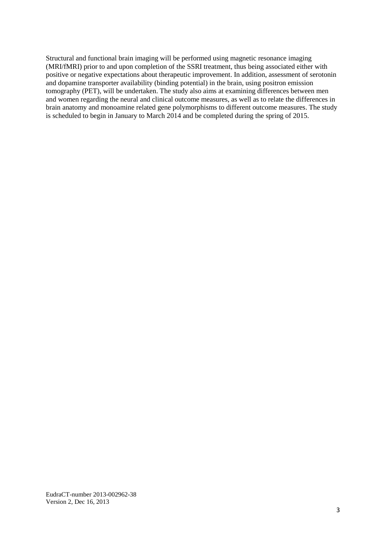Structural and functional brain imaging will be performed using magnetic resonance imaging (MRI/fMRI) prior to and upon completion of the SSRI treatment, thus being associated either with positive or negative expectations about therapeutic improvement. In addition, assessment of serotonin and dopamine transporter availability (binding potential) in the brain, using positron emission tomography (PET), will be undertaken. The study also aims at examining differences between men and women regarding the neural and clinical outcome measures, as well as to relate the differences in brain anatomy and monoamine related gene polymorphisms to different outcome measures. The study is scheduled to begin in January to March 2014 and be completed during the spring of 2015.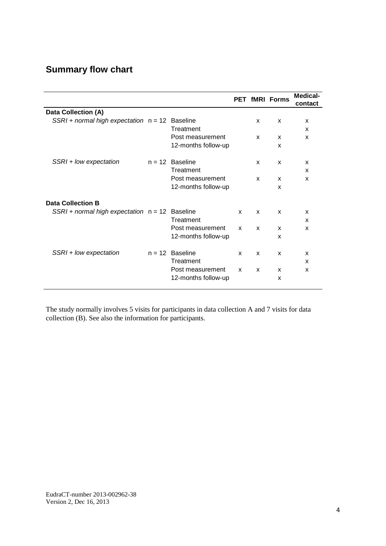# **Summary flow chart**

|                                                    |                     |   |              | <b>PET fMRI Forms</b> | <b>Medical-</b><br>contact |
|----------------------------------------------------|---------------------|---|--------------|-----------------------|----------------------------|
| Data Collection (A)                                |                     |   |              |                       |                            |
| $SSRI + normal$ high expectation $n = 12$ Baseline |                     |   | x            | X                     | X                          |
|                                                    | Treatment           |   |              |                       | x                          |
|                                                    | Post measurement    |   | $\mathbf{x}$ | X                     | $\mathbf{x}$               |
|                                                    | 12-months follow-up |   |              | x                     |                            |
| SSRI + low expectation                             | $n = 12$ Baseline   |   | X            | X                     | X                          |
|                                                    | Treatment           |   |              |                       | X                          |
|                                                    | Post measurement    |   | $\mathbf{x}$ | x                     | $\mathbf{x}$               |
|                                                    | 12-months follow-up |   |              | x                     |                            |
| <b>Data Collection B</b>                           |                     |   |              |                       |                            |
| $SSRI + normal$ high expectation $n = 12$ Baseline |                     | X | $\mathsf{x}$ | $\mathsf{x}$          | $\boldsymbol{\mathsf{x}}$  |
|                                                    | Treatment           |   |              |                       | $\boldsymbol{\mathsf{x}}$  |
|                                                    | Post measurement    | X | X            | x                     | $\boldsymbol{\mathsf{x}}$  |
|                                                    | 12-months follow-up |   |              | X                     |                            |
| SSRI + low expectation                             | $n = 12$ Baseline   | X | $\mathbf{x}$ | x                     | $\mathbf{x}$               |
|                                                    | Treatment           |   |              |                       | x                          |
|                                                    | Post measurement    | X | X            | X                     | X                          |
|                                                    | 12-months follow-up |   |              | X                     |                            |

The study normally involves 5 visits for participants in data collection A and 7 visits for data collection (B). See also the information for participants.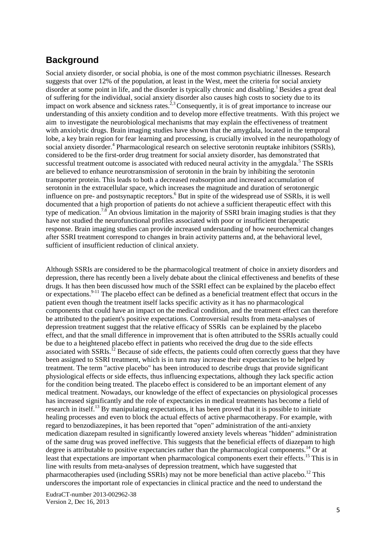### **Background**

Social anxiety disorder, or social phobia, is one of the most common psychiatric illnesses. Research suggests that over 12% of the population, at least in the West, meet the criteria for social anxiety disorder at some point in life, and the disorder is typically chronic and disabling.<sup>1</sup> Besides a great deal of suffering for the individual, social anxiety disorder also causes high costs to society due to its impact on work absence and sickness rates.<sup>2,3</sup>Consequently, it is of great importance to increase our understanding of this anxiety condition and to develop more effective treatments. With this project we aim to investigate the neurobiological mechanisms that may explain the effectiveness of treatment with anxiolytic drugs. Brain imaging studies have shown that the amygdala, located in the temporal lobe, a key brain region for fear learning and processing, is crucially involved in the neuropathology of social anxiety disorder.<sup>4</sup> Pharmacological research on selective serotonin reuptake inhibitors (SSRIs), considered to be the first-order drug treatment for social anxiety disorder, has demonstrated that successful treatment outcome is associated with reduced neural activity in the amygdala.<sup>5</sup> The SSRIs are believed to enhance neurotransmission of serotonin in the brain by inhibiting the serotonin transporter protein. This leads to both a decreased reabsorption and increased accumulation of serotonin in the extracellular space, which increases the magnitude and duration of serotonergic influence on pre- and postsynaptic receptors.<sup>6</sup> But in spite of the widespread use of SSRIs, it is well documented that a high proportion of patients do not achieve a sufficient therapeutic effect with this type of medication.<sup>7.8</sup> An obvious limitation in the majority of SSRI brain imaging studies is that they have not studied the neurofunctional profiles associated with poor or insufficient therapeutic response. Brain imaging studies can provide increased understanding of how neurochemical changes after SSRI treatment correspond to changes in brain activity patterns and, at the behavioral level, sufficient of insufficient reduction of clinical anxiety.

Although SSRIs are considered to be the pharmacological treatment of choice in anxiety disorders and depression, there has recently been a lively debate about the clinical effectiveness and benefits of these drugs. It has then been discussed how much of the SSRI effect can be explained by the placebo effect or expectations.<sup>9-11</sup> The placebo effect can be defined as a beneficial treatment effect that occurs in the patient even though the treatment itself lacks specific activity as it has no pharmacological components that could have an impact on the medical condition, and the treatment effect can therefore be attributed to the patient's positive expectations. Controversial results from meta-analyses of depression treatment suggest that the relative efficacy of SSRIs can be explained by the placebo effect, and that the small difference in improvement that is often attributed to the SSRIs actually could be due to a heightened placebo effect in patients who received the drug due to the side effects associated with SSRIs.<sup>12</sup> Because of side effects, the patients could often correctly guess that they have been assigned to SSRI treatment, which is in turn may increase their expectancies to be helped by treatment. The term "active placebo" has been introduced to describe drugs that provide significant physiological effects or side effects, thus influencing expectations, although they lack specific action for the condition being treated. The placebo effect is considered to be an important element of any medical treatment. Nowadays, our knowledge of the effect of expectancies on physiological processes has increased significantly and the role of expectancies in medical treatments has become a field of research in itself.<sup>13</sup> By manipulating expectations, it has been proved that it is possible to initiate healing processes and even to block the actual effects of active pharmacotherapy. For example, with regard to benzodiazepines, it has been reported that "open" administration of the anti-anxiety medication diazepam resulted in significantly lowered anxiety levels whereas "hidden" administration of the same drug was proved ineffective. This suggests that the beneficial effects of diazepam to high degree is attributable to positive expectancies rather than the pharmacological components.<sup>14</sup> Or at least that expectations are important when pharmacological components exert their effects.<sup>15</sup> This is in line with results from meta-analyses of depression treatment, which have suggested that pharmacotherapies used (including SSRIs) may not be more beneficial than active placebo.<sup>12</sup> This underscores the important role of expectancies in clinical practice and the need to understand the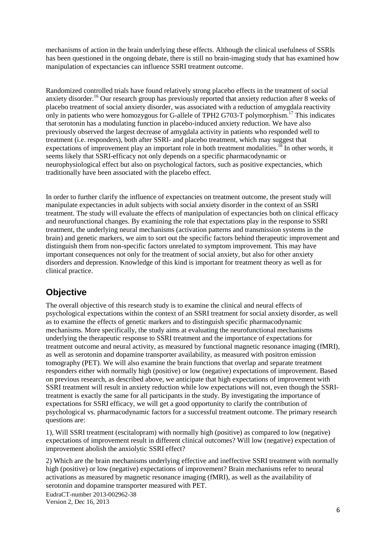mechanisms of action in the brain underlying these effects. Although the clinical usefulness of SSRIs has been questioned in the ongoing debate, there is still no brain-imaging study that has examined how manipulation of expectancies can influence SSRI treatment outcome.

Randomized controlled trials have found relatively strong placebo effects in the treatment of social anxiety disorder.<sup>16</sup> Our research group has previously reported that anxiety reduction after 8 weeks of placebo treatment of social anxiety disorder, was associated with a reduction of amygdala reactivity only in patients who were homozygous for G-allele of TPH2 G703-T polymorphism.<sup>17</sup> This indicates that serotonin has a modulating function in placebo-induced anxiety reduction. We have also previously observed the largest decrease of amygdala activity in patients who responded well to treatment (i.e. responders), both after SSRI- and placebo treatment, which may suggest that expectations of improvement play an important role in both treatment modalities.<sup>18</sup> In other words, it seems likely that SSRI-efficacy not only depends on a specific pharmacodynamic or neurophysiological effect but also on psychological factors, such as positive expectancies, which traditionally have been associated with the placebo effect.

In order to further clarify the influence of expectancies on treatment outcome, the present study will manipulate expectancies in adult subjects with social anxiety disorder in the context of an SSRI treatment. The study will evaluate the effects of manipulation of expectancies both on clinical efficacy and neurofunctional changes. By examining the role that expectations play in the response to SSRI treatment, the underlying neural mechanisms (activation patterns and transmission systems in the brain) and genetic markers, we aim to sort out the specific factors behind therapeutic improvement and distinguish them from non-specific factors unrelated to symptom improvement. This may have important consequences not only for the treatment of social anxiety, but also for other anxiety disorders and depression. Knowledge of this kind is important for treatment theory as well as for clinical practice.

# **Objective**

The overall objective of this research study is to examine the clinical and neural effects of psychological expectations within the context of an SSRI treatment for social anxiety disorder, as well as to examine the effects of genetic markers and to distinguish specific pharmacodynamic mechanisms. More specifically, the study aims at evaluating the neurofunctional mechanisms underlying the therapeutic response to SSRI treatment and the importance of expectations for treatment outcome and neural activity, as measured by functional magnetic resonance imaging (fMRI), as well as serotonin and dopamine transporter availability, as measured with positron emission tomography (PET). We will also examine the brain functions that overlap and separate treatment responders either with normally high (positive) or low (negative) expectations of improvement. Based on previous research, as described above, we anticipate that high expectations of improvement with SSRI treatment will result in anxiety reduction while low expectations will not, even though the SSRItreatment is exactly the same for all participants in the study. By investigating the importance of expectations for SSRI efficacy, we will get a good opportunity to clarify the contribution of psychological vs. pharmacodynamic factors for a successful treatment outcome. The primary research questions are:

1), Will SSRI treatment (escitalopram) with normally high (positive) as compared to low (negative) expectations of improvement result in different clinical outcomes? Will low (negative) expectation of improvement abolish the anxiolytic SSRI effect?

2) Which are the brain mechanisms underlying effective and ineffective SSRI treatment with normally high (positive) or low (negative) expectations of improvement? Brain mechanisms refer to neural activations as measured by magnetic resonance imaging (fMRI), as well as the availability of serotonin and dopamine transporter measured with PET.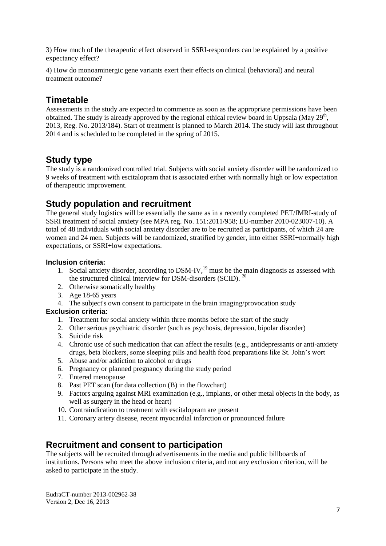3) How much of the therapeutic effect observed in SSRI-responders can be explained by a positive expectancy effect?

4) How do monoaminergic gene variants exert their effects on clinical (behavioral) and neural treatment outcome?

# **Timetable**

Assessments in the study are expected to commence as soon as the appropriate permissions have been obtained. The study is already approved by the regional ethical review board in Uppsala (May  $29<sup>th</sup>$ , 2013, Reg. No. 2013/184). Start of treatment is planned to March 2014. The study will last throughout 2014 and is scheduled to be completed in the spring of 2015.

### **Study type**

The study is a randomized controlled trial. Subjects with social anxiety disorder will be randomized to 9 weeks of treatment with escitalopram that is associated either with normally high or low expectation of therapeutic improvement.

# **Study population and recruitment**

The general study logistics will be essentially the same as in a recently completed PET/fMRI-study of SSRI treatment of social anxiety (see MPA reg. No. 151:2011/958; EU-number 2010-023007-10). A total of 48 individuals with social anxiety disorder are to be recruited as participants, of which 24 are women and 24 men. Subjects will be randomized, stratified by gender, into either SSRI+normally high expectations, or SSRI+low expectations.

#### **Inclusion criteria:**

- 1. Social anxiety disorder, according to DSM-IV,<sup>19</sup> must be the main diagnosis as assessed with the structured clinical interview for DSM-disorders (SCID).<sup>20</sup>
- 2. Otherwise somatically healthy
- 3. Age 18-65 years
- 4. The subject's own consent to participate in the brain imaging/provocation study

#### **Exclusion criteria:**

- 1. Treatment for social anxiety within three months before the start of the study
- 2. Other serious psychiatric disorder (such as psychosis, depression, bipolar disorder)
- 3. Suicide risk
- 4. Chronic use of such medication that can affect the results (e.g., antidepressants or anti-anxiety drugs, beta blockers, some sleeping pills and health food preparations like St. John's wort
- 5. Abuse and/or addiction to alcohol or drugs
- 6. Pregnancy or planned pregnancy during the study period
- 7. Entered menopause
- 8. Past PET scan (for data collection (B) in the flowchart)
- 9. Factors arguing against MRI examination (e.g., implants, or other metal objects in the body, as well as surgery in the head or heart)
- 10. Contraindication to treatment with escitalopram are present
- 11. Coronary artery disease, recent myocardial infarction or pronounced failure

# **Recruitment and consent to participation**

The subjects will be recruited through advertisements in the media and public billboards of institutions. Persons who meet the above inclusion criteria, and not any exclusion criterion, will be asked to participate in the study.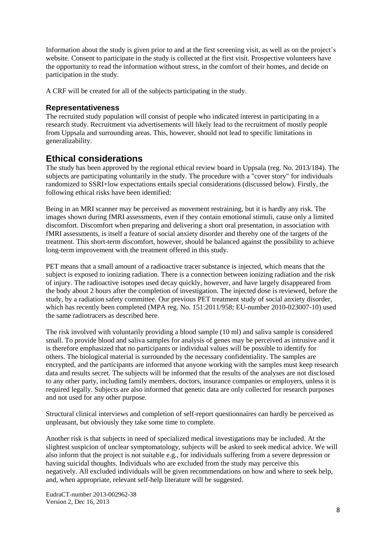Information about the study is given prior to and at the first screening visit, as well as on the project's website. Consent to participate in the study is collected at the first visit. Prospective volunteers have the opportunity to read the information without stress, in the comfort of their homes, and decide on participation in the study.

A CRF will be created for all of the subjects participating in the study.

#### **Representativeness**

The recruited study population will consist of people who indicated interest in participating in a research study. Recruitment via advertisements will likely lead to the recruitment of mostly people from Uppsala and surrounding areas. This, however, should not lead to specific limitations in generalizability.

### **Ethical considerations**

The study has been approved by the regional ethical review board in Uppsala (reg. No. 2013/184). The subjects are participating voluntarily in the study. The procedure with a "cover story" for individuals randomized to SSRI+low expectations entails special considerations (discussed below). Firstly, the following ethical risks have been identified:

Being in an MRI scanner may be perceived as movement restraining, but it is hardly any risk. The images shown during fMRI assessments, even if they contain emotional stimuli, cause only a limited discomfort. Discomfort when preparing and delivering a short oral presentation, in association with fMRI assessments, is itself a feature of social anxiety disorder and thereby one of the targets of the treatment. This short-term discomfort, however, should be balanced against the possibility to achieve long-term improvement with the treatment offered in this study.

PET means that a small amount of a radioactive tracer substance is injected, which means that the subject is exposed to ionizing radiation. There is a connection between ionizing radiation and the risk of injury. The radioactive isotopes used decay quickly, however, and have largely disappeared from the body about 2 hours after the completion of investigation. The injected dose is reviewed, before the study, by a radiation safety committee. Our previous PET treatment study of social anxiety disorder, which has recently been completed (MPA reg. No. 151:2011/958; EU-number 2010-023007-10) used the same radiotracers as described here.

The risk involved with voluntarily providing a blood sample (10 ml) and saliva sample is considered small. To provide blood and saliva samples for analysis of genes may be perceived as intrusive and it is therefore emphasized that no participants or individual values will be possible to identify for others. The biological material is surrounded by the necessary confidentiality. The samples are encrypted, and the participants are informed that anyone working with the samples must keep research data and results secret. The subjects will be informed that the results of the analyses are not disclosed to any other party, including family members, doctors, insurance companies or employers, unless it is required legally. Subjects are also informed that genetic data are only collected for research purposes and not used for any other purpose.

Structural clinical interviews and completion of self-report questionnaires can hardly be perceived as unpleasant, but obviously they take some time to complete.

Another risk is that subjects in need of specialized medical investigations may be included. At the slightest suspicion of unclear symptomatology, subjects will be asked to seek medical advice. We will also inform that the project is not suitable e.g., for individuals suffering from a severe depression or having suicidal thoughts. Individuals who are excluded from the study may perceive this negatively. All excluded individuals will be given recommendations on how and where to seek help, and, when appropriate, relevant self-help literature will be suggested.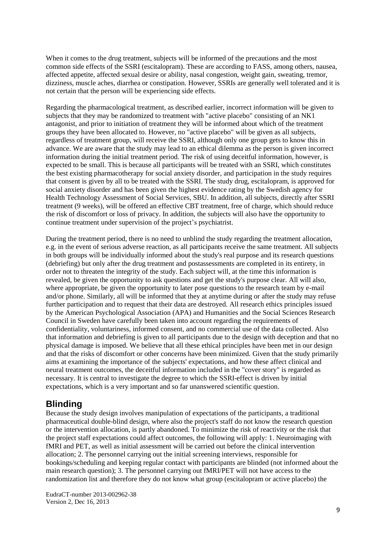When it comes to the drug treatment, subjects will be informed of the precautions and the most common side effects of the SSRI (escitalopram). These are according to FASS, among others, nausea, affected appetite, affected sexual desire or ability, nasal congestion, weight gain, sweating, tremor, dizziness, muscle aches, diarrhea or constipation. However, SSRIs are generally well tolerated and it is not certain that the person will be experiencing side effects.

Regarding the pharmacological treatment, as described earlier, incorrect information will be given to subjects that they may be randomized to treatment with "active placebo" consisting of an NK1 antagonist, and prior to initiation of treatment they will be informed about which of the treatment groups they have been allocated to. However, no "active placebo" will be given as all subjects, regardless of treatment group, will receive the SSRI, although only one group gets to know this in advance. We are aware that the study may lead to an ethical dilemma as the person is given incorrect information during the initial treatment period. The risk of using deceitful information, however, is expected to be small. This is because all participants will be treated with an SSRI, which constitutes the best existing pharmacotherapy for social anxiety disorder, and participation in the study requires that consent is given by all to be treated with the SSRI. The study drug, escitalopram, is approved for social anxiety disorder and has been given the highest evidence rating by the Swedish agency for Health Technology Assessment of Social Services, SBU. In addition, all subjects, directly after SSRI treatment (9 weeks), will be offered an effective CBT treatment, free of charge, which should reduce the risk of discomfort or loss of privacy. In addition, the subjects will also have the opportunity to continue treatment under supervision of the project's psychiatrist.

During the treatment period, there is no need to unblind the study regarding the treatment allocation, e.g. in the event of serious adverse reaction, as all participants receive the same treatment. All subjects in both groups will be individually informed about the study's real purpose and its research questions (debriefing) but only after the drug treatment and postassessments are completed in its entirety, in order not to threaten the integrity of the study. Each subject will, at the time this information is revealed, be given the opportunity to ask questions and get the study's purpose clear. All will also, where appropriate, be given the opportunity to later pose questions to the research team by e-mail and/or phone. Similarly, all will be informed that they at anytime during or after the study may refuse further participation and to request that their data are destroyed. All research ethics principles issued by the American Psychological Association (APA) and Humanities and the Social Sciences Research Council in Sweden have carefully been taken into account regarding the requirements of confidentiality, voluntariness, informed consent, and no commercial use of the data collected. Also that information and debriefing is given to all participants due to the design with deception and that no physical damage is imposed. We believe that all these ethical principles have been met in our design and that the risks of discomfort or other concerns have been minimized. Given that the study primarily aims at examining the importance of the subjects' expectations, and how these affect clinical and neural treatment outcomes, the deceitful information included in the "cover story" is regarded as necessary. It is central to investigate the degree to which the SSRI-effect is driven by initial expectations, which is a very important and so far unanswered scientific question.

# **Blinding**

Because the study design involves manipulation of expectations of the participants, a traditional pharmaceutical double-blind design, where also the project's staff do not know the research question or the intervention allocation, is partly abandoned. To minimize the risk of reactivity or the risk that the project staff expectations could affect outcomes, the following will apply: 1. Neuroimaging with fMRI and PET, as well as initial assessment will be carried out before the clinical intervention allocation; 2. The personnel carrying out the initial screening interviews, responsible for bookings/scheduling and keeping regular contact with participants are blinded (not informed about the main research question); 3. The personnel carrying out fMRI/PET will not have access to the randomization list and therefore they do not know what group (escitalopram or active placebo) the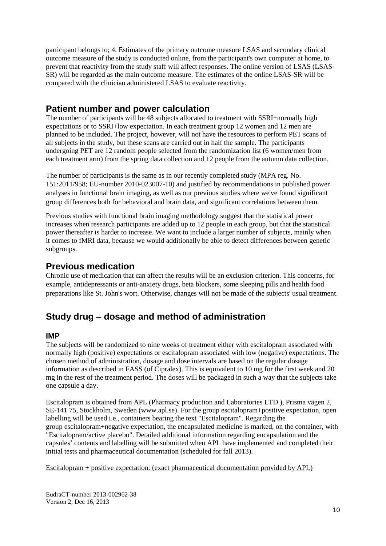participant belongs to; 4. Estimates of the primary outcome measure LSAS and secondary clinical outcome measure of the study is conducted online, from the participant's own computer at home, to prevent that reactivity from the study staff will affect responses. The online version of LSAS (LSAS-SR) will be regarded as the main outcome measure. The estimates of the online LSAS-SR will be compared with the clinician administered LSAS to evaluate reactivity.

# **Patient number and power calculation**

The number of participants will be 48 subjects allocated to treatment with SSRI+normally high expectations or to SSRI+low expectation. In each treatment group 12 women and 12 men are planned to be included. The project, however, will not have the resources to perform PET scans of all subjects in the study, but these scans are carried out in half the sample. The participants undergoing PET are 12 random people selected from the randomization list (6 women/men from each treatment arm) from the spring data collection and 12 people from the autumn data collection.

The number of participants is the same as in our recently completed study (MPA reg. No. 151:2011/958; EU-number 2010-023007-10) and justified by recommendations in published power analyses in functional brain imaging, as well as our previous studies where we've found significant group differences both for behavioral and brain data, and significant correlations between them.

Previous studies with functional brain imaging methodology suggest that the statistical power increases when research participants are added up to 12 people in each group, but that the statistical power thereafter is harder to increase. We want to include a larger number of subjects, mainly when it comes to fMRI data, because we would additionally be able to detect differences between genetic subgroups.

# **Previous medication**

Chronic use of medication that can affect the results will be an exclusion criterion. This concerns, for example, antidepressants or anti-anxiety drugs, beta blockers, some sleeping pills and health food preparations like St. John's wort. Otherwise, changes will not be made of the subjects' usual treatment.

# **Study drug – dosage and method of administration**

#### **IMP**

The subjects will be randomized to nine weeks of treatment either with escitalopram associated with normally high (positive) expectations or escitalopram associated with low (negative) expectations. The chosen method of administration, dosage and dose intervals are based on the regular dosage information as described in FASS (of Cipralex). This is equivalent to 10 mg for the first week and 20 mg in the rest of the treatment period. The doses will be packaged in such a way that the subjects take one capsule a day.

Escitalopram is obtained from APL (Pharmacy production and Laboratories LTD.), Prisma vägen 2, SE-141 75, Stockholm, Sweden (www.apl.se). For the group escitalopram+positive expectation, open labelling will be used i.e., containers bearing the text "Escitalopram". Regarding the group escitalopram+negative expectation, the encapsulated medicine is marked, on the container, with "Escitalopram/active placebo". Detailed additional information regarding encapsulation and the capsules' contents and labelling will be submitted when APL have implemented and completed their initial tests and pharmaceutical documentation (scheduled for fall 2013).

Escitalopram + positive expectation: (exact pharmaceutical documentation provided by APL)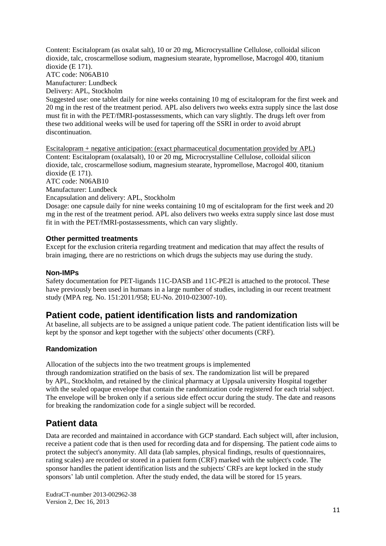Content: Escitalopram (as oxalat salt), 10 or 20 mg, Microcrystalline Cellulose, colloidal silicon dioxide, talc, croscarmellose sodium, magnesium stearate, hypromellose, Macrogol 400, titanium dioxide (E 171). ATC code: N06AB10 Manufacturer: Lundbeck Delivery: APL, Stockholm Suggested use: one tablet daily for nine weeks containing 10 mg of escitalopram for the first week and 20 mg in the rest of the treatment period. APL also delivers two weeks extra supply since the last dose must fit in with the PET/fMRI-postassessments, which can vary slightly. The drugs left over from these two additional weeks will be used for tapering off the SSRI in order to avoid abrupt discontinuation.

Escitalopram + negative anticipation: (exact pharmaceutical documentation provided by APL) Content: Escitalopram (oxalatsalt), 10 or 20 mg, Microcrystalline Cellulose, colloidal silicon dioxide, talc, croscarmellose sodium, magnesium stearate, hypromellose, Macrogol 400, titanium dioxide (E 171).

ATC code: N06AB10

Manufacturer: Lundbeck

Encapsulation and delivery: APL, Stockholm

Dosage: one capsule daily for nine weeks containing 10 mg of escitalopram for the first week and 20 mg in the rest of the treatment period. APL also delivers two weeks extra supply since last dose must fit in with the PET/fMRI-postassessments, which can vary slightly.

#### **Other permitted treatments**

Except for the exclusion criteria regarding treatment and medication that may affect the results of brain imaging, there are no restrictions on which drugs the subjects may use during the study.

#### **Non-IMPs**

Safety documentation for PET-ligands 11C-DASB and 11C-PE2I is attached to the protocol. These have previously been used in humans in a large number of studies, including in our recent treatment study (MPA reg. No. 151:2011/958; EU-No. 2010-023007-10).

### **Patient code, patient identification lists and randomization**

At baseline, all subjects are to be assigned a unique patient code. The patient identification lists will be kept by the sponsor and kept together with the subjects' other documents (CRF).

#### **Randomization**

Allocation of the subjects into the two treatment groups is implemented through randomization stratified on the basis of sex. The randomization list will be prepared by APL, Stockholm, and retained by the clinical pharmacy at Uppsala university Hospital together with the sealed opaque envelope that contain the randomization code registered for each trial subject. The envelope will be broken only if a serious side effect occur during the study. The date and reasons for breaking the randomization code for a single subject will be recorded.

# **Patient data**

Data are recorded and maintained in accordance with GCP standard. Each subject will, after inclusion, receive a patient code that is then used for recording data and for dispensing. The patient code aims to protect the subject's anonymity. All data (lab samples, physical findings, results of questionnaires, rating scales) are recorded or stored in a patient form (CRF) marked with the subject's code. The sponsor handles the patient identification lists and the subjects' CRFs are kept locked in the study sponsors' lab until completion. After the study ended, the data will be stored for 15 years.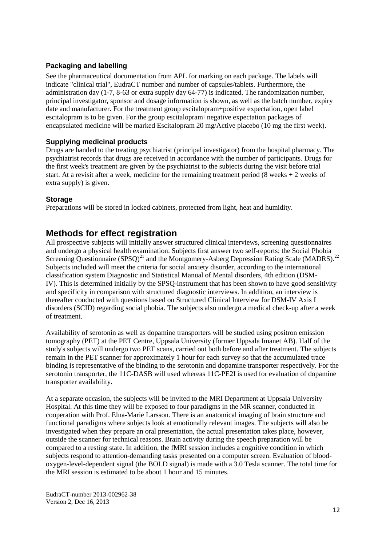#### **Packaging and labelling**

See the pharmaceutical documentation from APL for marking on each package. The labels will indicate "clinical trial", EudraCT number and number of capsules/tablets. Furthermore, the administration day (1-7, 8-63 or extra supply day 64-77) is indicated. The randomization number, principal investigator, sponsor and dosage information is shown, as well as the batch number, expiry date and manufacturer. For the treatment group escitalopram+positive expectation, open label escitalopram is to be given. For the group escitalopram+negative expectation packages of encapsulated medicine will be marked Escitalopram 20 mg/Active placebo (10 mg the first week).

#### **Supplying medicinal products**

Drugs are handed to the treating psychiatrist (principal investigator) from the hospital pharmacy. The psychiatrist records that drugs are received in accordance with the number of participants. Drugs for the first week's treatment are given by the psychiatrist to the subjects during the visit before trial start. At a revisit after a week, medicine for the remaining treatment period  $(8 \text{ weeks} + 2 \text{ weeks of})$ extra supply) is given.

#### **Storage**

Preparations will be stored in locked cabinets, protected from light, heat and humidity.

### **Methods for effect registration**

All prospective subjects will initially answer structured clinical interviews, screening questionnaires and undergo a physical health examination. Subjects first answer two self-reports: the Social Phobia Screening Questionnaire  $(SPSQ)^{21}$  and the Montgomery-Asberg Depression Rating Scale (MADRS).<sup>22</sup> Subjects included will meet the criteria for social anxiety disorder, according to the international classification system Diagnostic and Statistical Manual of Mental disorders, 4th edition (DSM-IV). This is determined initially by the SPSQ-instrument that has been shown to have good sensitivity and specificity in comparison with structured diagnostic interviews. In addition, an interview is thereafter conducted with questions based on Structured Clinical Interview for DSM-IV Axis I disorders (SCID) regarding social phobia. The subjects also undergo a medical check-up after a week of treatment.

Availability of serotonin as well as dopamine transporters will be studied using positron emission tomography (PET) at the PET Centre, Uppsala University (former Uppsala Imanet AB). Half of the study's subjects will undergo two PET scans, carried out both before and after treatment. The subjects remain in the PET scanner for approximately 1 hour for each survey so that the accumulated trace binding is representative of the binding to the serotonin and dopamine transporter respectively. For the serotonin transporter, the 11C-DASB will used whereas 11C-PE2I is used for evaluation of dopamine transporter availability.

At a separate occasion, the subjects will be invited to the MRI Department at Uppsala University Hospital. At this time they will be exposed to four paradigms in the MR scanner, conducted in cooperation with Prof. Elna-Marie Larsson. There is an anatomical imaging of brain structure and functional paradigms where subjects look at emotionally relevant images. The subjects will also be investigated when they prepare an oral presentation, the actual presentation takes place, however, outside the scanner for technical reasons. Brain activity during the speech preparation will be compared to a resting state. In addition, the fMRI session includes a cognitive condition in which subjects respond to attention-demanding tasks presented on a computer screen. Evaluation of bloodoxygen-level-dependent signal (the BOLD signal) is made with a 3.0 Tesla scanner. The total time for the MRI session is estimated to be about 1 hour and 15 minutes.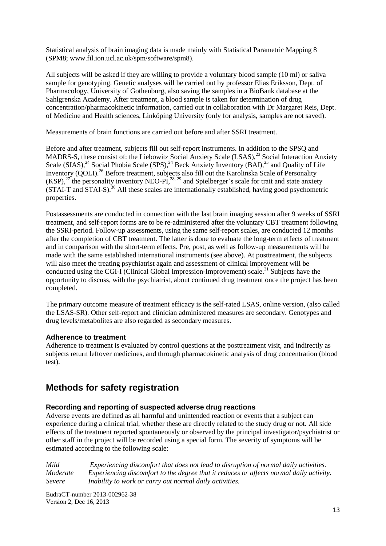Statistical analysis of brain imaging data is made mainly with Statistical Parametric Mapping 8 (SPM8; www.fil.ion.ucl.ac.uk/spm/software/spm8).

All subjects will be asked if they are willing to provide a voluntary blood sample (10 ml) or saliva sample for genotyping. Genetic analyses will be carried out by professor Elias Eriksson, Dept. of Pharmacology, University of Gothenburg, also saving the samples in a BioBank database at the Sahlgrenska Academy. After treatment, a blood sample is taken for determination of drug concentration/pharmacokinetic information, carried out in collaboration with Dr Margaret Reis, Dept. of Medicine and Health sciences, Linköping University (only for analysis, samples are not saved).

Measurements of brain functions are carried out before and after SSRI treatment.

Before and after treatment, subjects fill out self-report instruments. In addition to the SPSQ and MADRS-S, these consist of: the Liebowitz Social Anxiety Scale (LSAS),<sup>23</sup> Social Interaction Anxiety Scale  $(SIAS),<sup>24</sup> Social Phobia Scale (SPS),<sup>24</sup> Beck Anxiety Inventory (BAI),<sup>25</sup> and Quality of Life$ Inventory (QOLI).<sup>26</sup> Before treatment, subjects also fill out the Karolinska Scale of Personality  $(KSP)$ ,<sup>27</sup> the personality inventory NEO-PI,<sup>28, 29</sup> and Spielberger's scale for trait and state anxiety  $(STAI-T)$  and  $STAI-S$ ).<sup>30</sup> All these scales are internationally established, having good psychometric properties.

Postassessments are conducted in connection with the last brain imaging session after 9 weeks of SSRI treatment, and self-report forms are to be re-administered after the voluntary CBT treatment following the SSRI-period. Follow-up assessments, using the same self-report scales, are conducted 12 months after the completion of CBT treatment. The latter is done to evaluate the long-term effects of treatment and in comparison with the short-term effects. Pre, post, as well as follow-up measurements will be made with the same established international instruments (see above). At posttreatment, the subjects will also meet the treating psychiatrist again and assessment of clinical improvement will be conducted using the CGI-I (Clinical Global Impression-Improvement) scale.<sup>31</sup> Subjects have the opportunity to discuss, with the psychiatrist, about continued drug treatment once the project has been completed.

The primary outcome measure of treatment efficacy is the self-rated LSAS, online version, (also called the LSAS-SR). Other self-report and clinician administered measures are secondary. Genotypes and drug levels/metabolites are also regarded as secondary measures.

#### **Adherence to treatment**

Adherence to treatment is evaluated by control questions at the posttreatment visit, and indirectly as subjects return leftover medicines, and through pharmacokinetic analysis of drug concentration (blood test).

# **Methods for safety registration**

#### **Recording and reporting of suspected adverse drug reactions**

Adverse events are defined as all harmful and unintended reaction or events that a subject can experience during a clinical trial, whether these are directly related to the study drug or not. All side effects of the treatment reported spontaneously or observed by the principal investigator/psychiatrist or other staff in the project will be recorded using a special form. The severity of symptoms will be estimated according to the following scale:

*Mild Experiencing discomfort that does not lead to disruption of normal daily activities. Moderate Experiencing discomfort to the degree that it reduces or affects normal daily activity. Severe Inability to work or carry out normal daily activities.*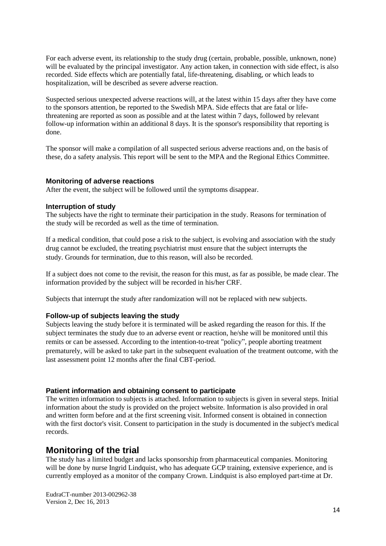For each adverse event, its relationship to the study drug (certain, probable, possible, unknown, none) will be evaluated by the principal investigator. Any action taken, in connection with side effect, is also recorded. Side effects which are potentially fatal, life-threatening, disabling, or which leads to hospitalization, will be described as severe adverse reaction.

Suspected serious unexpected adverse reactions will, at the latest within 15 days after they have come to the sponsors attention, be reported to the Swedish MPA. Side effects that are fatal or lifethreatening are reported as soon as possible and at the latest within 7 days, followed by relevant follow-up information within an additional 8 days. It is the sponsor's responsibility that reporting is done.

The sponsor will make a compilation of all suspected serious adverse reactions and, on the basis of these, do a safety analysis. This report will be sent to the MPA and the Regional Ethics Committee.

#### **Monitoring of adverse reactions**

After the event, the subject will be followed until the symptoms disappear.

#### **Interruption of study**

The subjects have the right to terminate their participation in the study. Reasons for termination of the study will be recorded as well as the time of termination.

If a medical condition, that could pose a risk to the subject, is evolving and association with the study drug cannot be excluded, the treating psychiatrist must ensure that the subject interrupts the study. Grounds for termination, due to this reason, will also be recorded.

If a subject does not come to the revisit, the reason for this must, as far as possible, be made clear. The information provided by the subject will be recorded in his/her CRF.

Subjects that interrupt the study after randomization will not be replaced with new subjects.

#### **Follow-up of subjects leaving the study**

Subjects leaving the study before it is terminated will be asked regarding the reason for this. If the subject terminates the study due to an adverse event or reaction, he/she will be monitored until this remits or can be assessed. According to the intention-to-treat "policy", people aborting treatment prematurely, will be asked to take part in the subsequent evaluation of the treatment outcome, with the last assessment point 12 months after the final CBT-period.

#### **Patient information and obtaining consent to participate**

The written information to subjects is attached. Information to subjects is given in several steps. Initial information about the study is provided on the project website. Information is also provided in oral and written form before and at the first screening visit. Informed consent is obtained in connection with the first doctor's visit. Consent to participation in the study is documented in the subject's medical records.

#### **Monitoring of the trial**

The study has a limited budget and lacks sponsorship from pharmaceutical companies. Monitoring will be done by nurse Ingrid Lindquist, who has adequate GCP training, extensive experience, and is currently employed as a monitor of the company Crown. Lindquist is also employed part-time at Dr.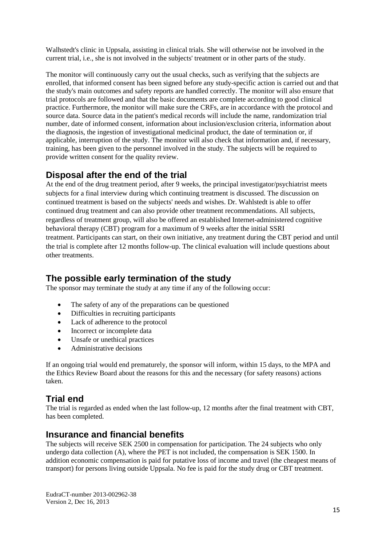Walhstedt's clinic in Uppsala, assisting in clinical trials. She will otherwise not be involved in the current trial, i.e., she is not involved in the subjects' treatment or in other parts of the study.

The monitor will continuously carry out the usual checks, such as verifying that the subjects are enrolled, that informed consent has been signed before any study-specific action is carried out and that the study's main outcomes and safety reports are handled correctly. The monitor will also ensure that trial protocols are followed and that the basic documents are complete according to good clinical practice. Furthermore, the monitor will make sure the CRFs, are in accordance with the protocol and source data. Source data in the patient's medical records will include the name, randomization trial number, date of informed consent, information about inclusion/exclusion criteria, information about the diagnosis, the ingestion of investigational medicinal product, the date of termination or, if applicable, interruption of the study. The monitor will also check that information and, if necessary, training, has been given to the personnel involved in the study. The subjects will be required to provide written consent for the quality review.

# **Disposal after the end of the trial**

At the end of the drug treatment period, after 9 weeks, the principal investigator/psychiatrist meets subjects for a final interview during which continuing treatment is discussed. The discussion on continued treatment is based on the subjects' needs and wishes. Dr. Wahlstedt is able to offer continued drug treatment and can also provide other treatment recommendations. All subjects, regardless of treatment group, will also be offered an established Internet-administered cognitive behavioral therapy (CBT) program for a maximum of 9 weeks after the initial SSRI treatment. Participants can start, on their own initiative, any treatment during the CBT period and until the trial is complete after 12 months follow-up. The clinical evaluation will include questions about other treatments.

# **The possible early termination of the study**

The sponsor may terminate the study at any time if any of the following occur:

- The safety of any of the preparations can be questioned
- Difficulties in recruiting participants
- Lack of adherence to the protocol
- Incorrect or incomplete data
- Unsafe or unethical practices
- Administrative decisions

If an ongoing trial would end prematurely, the sponsor will inform, within 15 days, to the MPA and the Ethics Review Board about the reasons for this and the necessary (for safety reasons) actions taken.

# **Trial end**

The trial is regarded as ended when the last follow-up, 12 months after the final treatment with CBT, has been completed.

### **Insurance and financial benefits**

The subjects will receive SEK 2500 in compensation for participation. The 24 subjects who only undergo data collection (A), where the PET is not included, the compensation is SEK 1500. In addition economic compensation is paid for putative loss of income and travel (the cheapest means of transport) for persons living outside Uppsala. No fee is paid for the study drug or CBT treatment.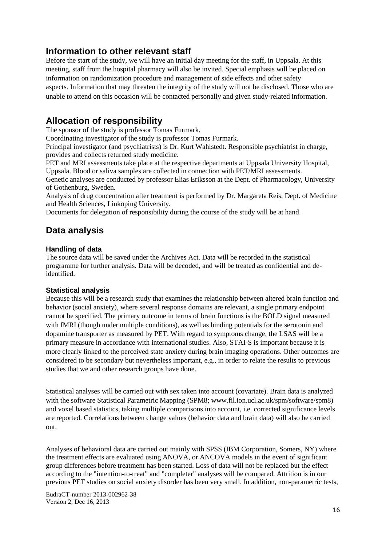### **Information to other relevant staff**

Before the start of the study, we will have an initial day meeting for the staff, in Uppsala. At this meeting, staff from the hospital pharmacy will also be invited. Special emphasis will be placed on information on randomization procedure and management of side effects and other safety aspects. Information that may threaten the integrity of the study will not be disclosed. Those who are unable to attend on this occasion will be contacted personally and given study-related information.

# **Allocation of responsibility**

The sponsor of the study is professor Tomas Furmark.

Coordinating investigator of the study is professor Tomas Furmark.

Principal investigator (and psychiatrists) is Dr. Kurt Wahlstedt. Responsible psychiatrist in charge, provides and collects returned study medicine.

PET and MRI assessments take place at the respective departments at Uppsala University Hospital, Uppsala. Blood or saliva samples are collected in connection with PET/MRI assessments.

Genetic analyses are conducted by professor Elias Eriksson at the Dept. of Pharmacology, University of Gothenburg, Sweden.

Analysis of drug concentration after treatment is performed by Dr. Margareta Reis, Dept. of Medicine and Health Sciences, Linköping University.

Documents for delegation of responsibility during the course of the study will be at hand.

# **Data analysis**

#### **Handling of data**

The source data will be saved under the Archives Act. Data will be recorded in the statistical programme for further analysis. Data will be decoded, and will be treated as confidential and deidentified.

#### **Statistical analysis**

Because this will be a research study that examines the relationship between altered brain function and behavior (social anxiety), where several response domains are relevant, a single primary endpoint cannot be specified. The primary outcome in terms of brain functions is the BOLD signal measured with fMRI (though under multiple conditions), as well as binding potentials for the serotonin and dopamine transporter as measured by PET. With regard to symptoms change, the LSAS will be a primary measure in accordance with international studies. Also, STAI-S is important because it is more clearly linked to the perceived state anxiety during brain imaging operations. Other outcomes are considered to be secondary but nevertheless important, e.g., in order to relate the results to previous studies that we and other research groups have done.

Statistical analyses will be carried out with sex taken into account (covariate). Brain data is analyzed with the software Statistical Parametric Mapping (SPM8; www.fil.ion.ucl.ac.uk/spm/software/spm8) and voxel based statistics, taking multiple comparisons into account, i.e. corrected significance levels are reported. Correlations between change values (behavior data and brain data) will also be carried out.

Analyses of behavioral data are carried out mainly with SPSS (IBM Corporation, Somers, NY) where the treatment effects are evaluated using ANOVA, or ANCOVA models in the event of significant group differences before treatment has been started. Loss of data will not be replaced but the effect according to the "intention-to-treat" and "completer" analyses will be compared. Attrition is in our previous PET studies on social anxiety disorder has been very small. In addition, non-parametric tests,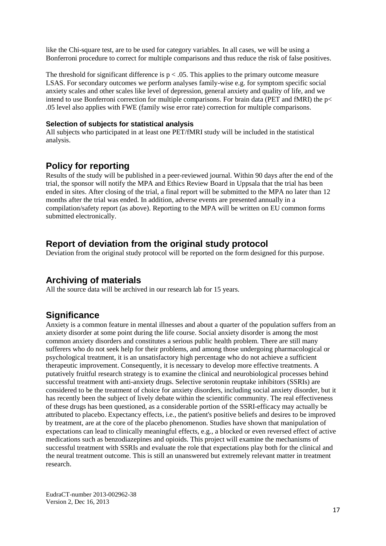like the Chi-square test, are to be used for category variables. In all cases, we will be using a Bonferroni procedure to correct for multiple comparisons and thus reduce the risk of false positives.

The threshold for significant difference is  $p < .05$ . This applies to the primary outcome measure LSAS. For secondary outcomes we perform analyses family-wise e.g. for symptom specific social anxiety scales and other scales like level of depression, general anxiety and quality of life, and we intend to use Bonferroni correction for multiple comparisons. For brain data (PET and fMRI) the p< .05 level also applies with FWE (family wise error rate) correction for multiple comparisons.

#### **Selection of subjects for statistical analysis**

All subjects who participated in at least one PET/fMRI study will be included in the statistical analysis.

### **Policy for reporting**

Results of the study will be published in a peer-reviewed journal. Within 90 days after the end of the trial, the sponsor will notify the MPA and Ethics Review Board in Uppsala that the trial has been ended in sites. After closing of the trial, a final report will be submitted to the MPA no later than 12 months after the trial was ended. In addition, adverse events are presented annually in a compilation/safety report (as above). Reporting to the MPA will be written on EU common forms submitted electronically.

### **Report of deviation from the original study protocol**

Deviation from the original study protocol will be reported on the form designed for this purpose.

### **Archiving of materials**

All the source data will be archived in our research lab for 15 years.

# **Significance**

Anxiety is a common feature in mental illnesses and about a quarter of the population suffers from an anxiety disorder at some point during the life course. Social anxiety disorder is among the most common anxiety disorders and constitutes a serious public health problem. There are still many sufferers who do not seek help for their problems, and among those undergoing pharmacological or psychological treatment, it is an unsatisfactory high percentage who do not achieve a sufficient therapeutic improvement. Consequently, it is necessary to develop more effective treatments. A putatively fruitful research strategy is to examine the clinical and neurobiological processes behind successful treatment with anti-anxiety drugs. Selective serotonin reuptake inhibitors (SSRIs) are considered to be the treatment of choice for anxiety disorders, including social anxiety disorder, but it has recently been the subject of lively debate within the scientific community. The real effectiveness of these drugs has been questioned, as a considerable portion of the SSRI-efficacy may actually be attributed to placebo. Expectancy effects, i.e., the patient's positive beliefs and desires to be improved by treatment, are at the core of the placebo phenomenon. Studies have shown that manipulation of expectations can lead to clinically meaningful effects, e.g., a blocked or even reversed effect of active medications such as benzodiazepines and opioids. This project will examine the mechanisms of successful treatment with SSRIs and evaluate the role that expectations play both for the clinical and the neural treatment outcome. This is still an unanswered but extremely relevant matter in treatment research.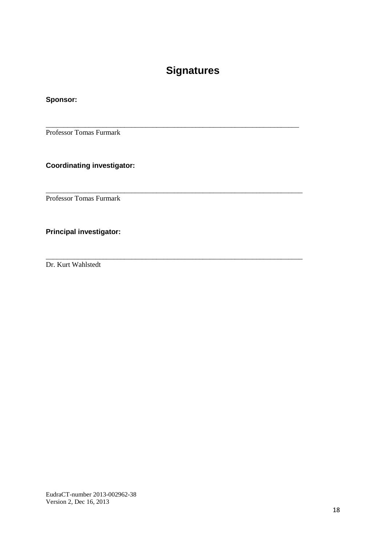# **Signatures**

\_\_\_\_\_\_\_\_\_\_\_\_\_\_\_\_\_\_\_\_\_\_\_\_\_\_\_\_\_\_\_\_\_\_\_\_\_\_\_\_\_\_\_\_\_\_\_\_\_\_\_\_\_\_\_\_\_\_\_\_\_\_\_\_\_\_\_\_\_\_\_

\_\_\_\_\_\_\_\_\_\_\_\_\_\_\_\_\_\_\_\_\_\_\_\_\_\_\_\_\_\_\_\_\_\_\_\_\_\_\_\_\_\_\_\_\_\_\_\_\_\_\_\_\_\_\_\_\_\_\_\_\_\_\_\_\_\_\_\_\_\_\_\_

\_\_\_\_\_\_\_\_\_\_\_\_\_\_\_\_\_\_\_\_\_\_\_\_\_\_\_\_\_\_\_\_\_\_\_\_\_\_\_\_\_\_\_\_\_\_\_\_\_\_\_\_\_\_\_\_\_\_\_\_\_\_\_\_\_\_\_\_\_\_\_\_

### **Sponsor:**

Professor Tomas Furmark

### **Coordinating investigator:**

Professor Tomas Furmark

### **Principal investigator:**

Dr. Kurt Wahlstedt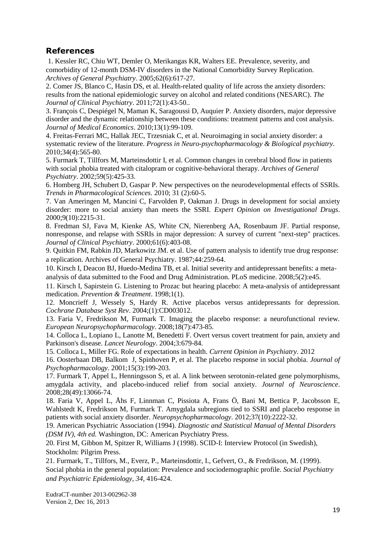### **References**

1. Kessler RC, Chiu WT, Demler O, Merikangas KR, Walters EE. Prevalence, severity, and comorbidity of 12-month DSM-IV disorders in the National Comorbidity Survey Replication. *Archives of General Psychiatry*. 2005;62(6):617-27.

2. Comer JS, Blanco C, Hasin DS, et al. Health-related quality of life across the anxiety disorders: results from the national epidemiologic survey on alcohol and related conditions (NESARC). *The Journal of Clinical Psychiatry*. 2011;72(1):43-50..

3. François C, Despiégel N, Maman K, Saragoussi D, Auquier P. Anxiety disorders, major depressive disorder and the dynamic relationship between these conditions: treatment patterns and cost analysis. *Journal of Medical Economics*. 2010;13(1):99-109.

4. Freitas-Ferrari MC, Hallak JEC, Trzesniak C, et al. Neuroimaging in social anxiety disorder: a systematic review of the literature. *Progress in Neuro-psychopharmacology & Biological psychiatry*. 2010;34(4):565-80.

5. Furmark T, Tillfors M, Marteinsdottir I, et al. Common changes in cerebral blood flow in patients with social phobia treated with citalopram or cognitive-behavioral therapy. *Archives of General Psychiatry*. 2002;59(5):425-33.

6. Homberg JH, Schubert D, Gaspar P. New perspectives on the neurodevelopmental effects of SSRIs. *Trends in Pharmacological Sciences*. 2010; 31 (2):60-5.

7. Van Ameringen M, Mancini C, Farvolden P, Oakman J. Drugs in development for social anxiety disorder: more to social anxiety than meets the SSRI. *Expert Opinion on Investigational Drugs*. 2000;9(10):2215-31.

8. Fredman SJ, Fava M, Kienke AS, White CN, Nierenberg AA, Rosenbaum JF. Partial response, nonresponse, and relapse with SSRIs in major depression: A survey of current "next-step" practices. *Journal of Clinical Psychiatry*. 2000;61(6):403-08.

9. Quitkin FM, Rabkin JD, Markowitz JM. et al. Use of pattern analysis to identify true drug response: a replication. Archives of General Psychiatry. 1987;44:259-64.

10. Kirsch I, Deacon BJ, Huedo-Medina TB, et al. Initial severity and antidepressant benefits: a meta-

analysis of data submitted to the Food and Drug Administration. PLoS medicine. 2008;5(2):e45.

11. Kirsch I, Sapirstein G. Listening to Prozac but hearing placebo: A meta-analysis of antidepressant medication. *Prevention & Treatment*. 1998;1(1).

12. Moncrieff J, Wessely S, Hardy R. Active placebos versus antidepressants for depression. *Cochrane Database Syst Rev*. 2004;(1):CD003012.

13. Faria V, Fredrikson M, Furmark T. Imaging the placebo response: a neurofunctional review. *European Neuropsychopharmacology*. 2008;18(7):473-85.

14. Colloca L, Lopiano L, Lanotte M, Benedetti F. Overt versus covert treatment for pain, anxiety and Parkinson's disease. *Lancet Neurology*. 2004;3:679-84.

15. Colloca L, Miller FG. Role of expectations in health. *Current Opinion in Psychiatry*. 2012

16. Oosterbaan DB, Balkom J, Spinhoven P, et al. The placebo response in social phobia. *Journal of Psychopharmacology*. 2001;15(3):199-203.

17. Furmark T, Appel L, Henningsson S, et al. A link between serotonin-related gene polymorphisms, amygdala activity, and placebo-induced relief from social anxiety. *Journal of Neuroscience*. 2008;28(49):13066-74.

18. Faria V, Appel L, Åhs F, Linnman C, Pissiota A, Frans Ö, Bani M, Bettica P, Jacobsson E, Wahlstedt K, Fredrikson M, Furmark T. Amygdala subregions tied to SSRI and placebo response in patients with social anxiety disorder. *Neuropsychopharmacology*. 2012;37(10):2222-32.

19. American Psychiatric Association (1994). *Diagnostic and Statistical Manual of Mental Disorders (DSM IV), 4th ed.* Washington, DC: American Psychiatry Press.

20. First M, Gibbon M, Spitzer R, Williams J (1998). SCID-I: Interview Protocol (in Swedish), Stockholm: Pilgrim Press.

21. Furmark, T., Tillfors, M., Everz, P., Marteinsdottir, I., Gefvert, O., & Fredrikson, M. (1999). Social phobia in the general population: Prevalence and sociodemographic profile. *Social Psychiatry and Psychiatric Epidemiology, 34,* 416-424.